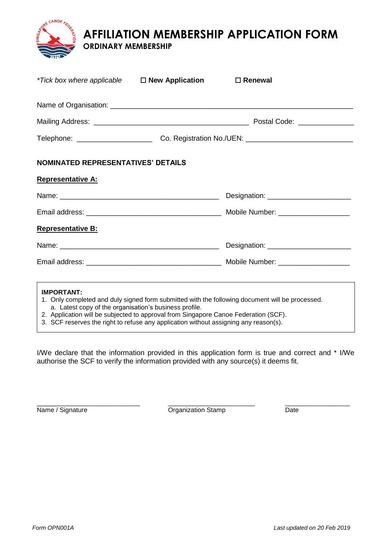**AFFILIATION MEMBERSHIP APPLICATION FORM**

## **ORDINARY MEMBERSHIP**

**E** CANOE FED

| *Tick box where applicable □ New Application                                | $\Box$ Renewal                                                                                                                  |  |
|-----------------------------------------------------------------------------|---------------------------------------------------------------------------------------------------------------------------------|--|
|                                                                             |                                                                                                                                 |  |
|                                                                             |                                                                                                                                 |  |
|                                                                             |                                                                                                                                 |  |
| <b>NOMINATED REPRESENTATIVES' DETAILS</b>                                   |                                                                                                                                 |  |
| <b>Representative A:</b>                                                    |                                                                                                                                 |  |
|                                                                             |                                                                                                                                 |  |
|                                                                             |                                                                                                                                 |  |
| <b>Representative B:</b>                                                    |                                                                                                                                 |  |
|                                                                             |                                                                                                                                 |  |
|                                                                             |                                                                                                                                 |  |
|                                                                             | ,我们也不会有什么。""我们的人,我们也不会有什么?""我们的人,我们也不会有什么?""我们的人,我们也不会有什么?""我们的人,我们也不会有什么?""我们的人                                                |  |
| <b>IMPORTANT:</b><br>a. Latest copy of the organisation's business profile. | 1. Only completed and duly signed form submitted with the following document will be processed.<br>$\sim$ $\sim$ $\sim$ $(225)$ |  |

- 2. Application will be subjected to approval from Singapore Canoe Federation (SCF).
- 3. SCF reserves the right to refuse any application without assigning any reason(s).

I/We declare that the information provided in this application form is true and correct and \* I/We authorise the SCF to verify the information provided with any source(s) it deems fit.

\_\_\_\_\_\_\_\_\_\_\_\_\_\_\_\_\_\_\_\_\_\_\_\_\_\_\_\_ \_\_\_\_\_\_\_\_\_\_\_\_\_\_\_\_\_\_\_\_\_\_\_\_ \_\_\_\_\_\_\_\_\_\_\_\_\_\_\_\_\_\_ Name / Signature Date **Organization Stamp** Date Date